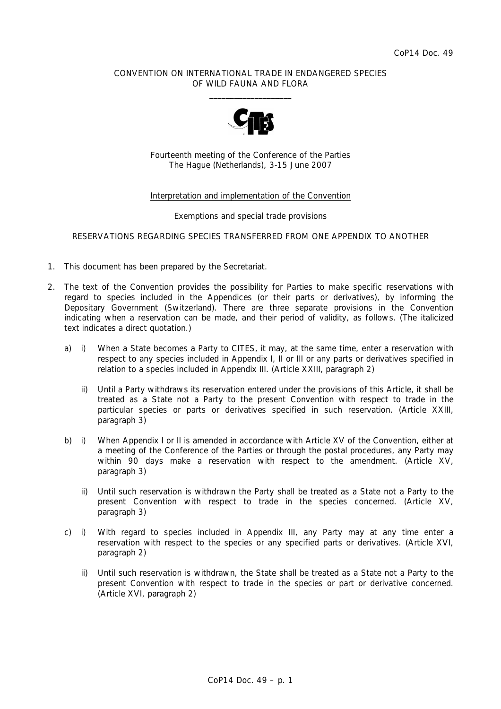### CONVENTION ON INTERNATIONAL TRADE IN ENDANGERED SPECIES OF WILD FAUNA AND FLORA  $\overline{\phantom{a}}$  , and the set of the set of the set of the set of the set of the set of the set of the set of the set of the set of the set of the set of the set of the set of the set of the set of the set of the set of the s



Fourteenth meeting of the Conference of the Parties The Hague (Netherlands), 3-15 June 2007

#### Interpretation and implementation of the Convention

#### Exemptions and special trade provisions

#### RESERVATIONS REGARDING SPECIES TRANSFERRED FROM ONE APPENDIX TO ANOTHER

- 1. This document has been prepared by the Secretariat.
- 2. The text of the Convention provides the possibility for Parties to make specific reservations with regard to species included in the Appendices (or their parts or derivatives), by informing the Depositary Government (Switzerland). There are three separate provisions in the Convention indicating when a reservation can be made, and their period of validity, as follows. (The italicized text indicates a direct quotation.)
	- a) i) When a State becomes a Party to CITES, it may, at the same time, enter a reservation with respect to any species included in Appendix I, II or III or any parts or derivatives specified in relation to a species included in Appendix III. (Article XXIII, paragraph 2)
		- ii) *Until a Party withdraws its reservation entered under the provisions of this Article, it shall be treated as a State not a Party to the present Convention with respect to trade in the particular species or parts or derivatives specified in such reservation.* (Article XXIII, paragraph 3)
	- b) i) When Appendix I or II is amended in accordance with Article XV of the Convention, either at a meeting of the Conference of the Parties or through the postal procedures, any Party may within 90 days make a reservation with respect to the amendment. (Article XV, paragraph 3)
		- ii) *Until such reservation is withdrawn the Party shall be treated as a State not a Party to the present Convention with respect to trade in the species concerned.* (Article XV, paragraph 3)
	- c) i) With regard to species included in Appendix III, any Party may at any time enter a reservation with respect to the species or any specified parts or derivatives. (Article XVI, paragraph 2)
		- ii) U*ntil such reservation is withdrawn, the State shall be treated as a State not a Party to the present Convention with respect to trade in the species or part or derivative concerned.* (Article XVI, paragraph 2)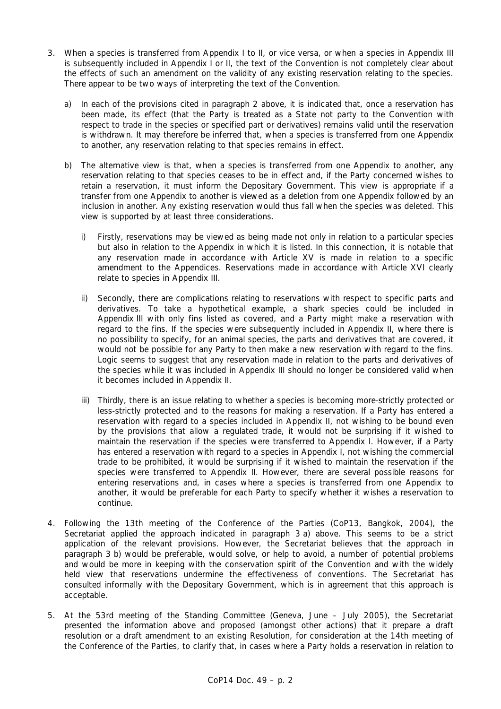- 3. When a species is transferred from Appendix I to II, or vice versa, or when a species in Appendix III is subsequently included in Appendix I or II, the text of the Convention is not completely clear about the effects of such an amendment on the validity of any existing reservation relating to the species. There appear to be two ways of interpreting the text of the Convention.
	- a) In each of the provisions cited in paragraph 2 above, it is indicated that, once a reservation has been made, its effect (that the Party is treated as a State not party to the Convention with respect to trade in the species or specified part or derivatives) remains valid until the reservation is withdrawn. It may therefore be inferred that, when a species is transferred from one Appendix to another, any reservation relating to that species remains in effect.
	- b) The alternative view is that, when a species is transferred from one Appendix to another, any reservation relating to that species ceases to be in effect and, if the Party concerned wishes to retain a reservation, it must inform the Depositary Government. This view is appropriate if a transfer from one Appendix to another is viewed as a deletion from one Appendix followed by an inclusion in another. Any existing reservation would thus fall when the species was deleted. This view is supported by at least three considerations.
		- i) Firstly, reservations may be viewed as being made not only in relation to a particular species but also in relation to the Appendix in which it is listed. In this connection, it is notable that any reservation made in accordance with Article XV is made in relation to a specific amendment to the Appendices. Reservations made in accordance with Article XVI clearly relate to species in Appendix III.
		- ii) Secondly, there are complications relating to reservations with respect to specific parts and derivatives. To take a hypothetical example, a shark species could be included in Appendix III with only fins listed as covered, and a Party might make a reservation with regard to the fins. If the species were subsequently included in Appendix II, where there is no possibility to specify, for an animal species, the parts and derivatives that are covered, it would not be possible for any Party to then make a new reservation with regard to the fins. Logic seems to suggest that any reservation made in relation to the parts and derivatives of the species while it was included in Appendix III should no longer be considered valid when it becomes included in Appendix II.
		- iii) Thirdly, there is an issue relating to whether a species is becoming more-strictly protected or less-strictly protected and to the reasons for making a reservation. If a Party has entered a reservation with regard to a species included in Appendix II, not wishing to be bound even by the provisions that allow a regulated trade, it would not be surprising if it wished to maintain the reservation if the species were transferred to Appendix I. However, if a Party has entered a reservation with regard to a species in Appendix I, not wishing the commercial trade to be prohibited, it would be surprising if it wished to maintain the reservation if the species were transferred to Appendix II. However, there are several possible reasons for entering reservations and, in cases where a species is transferred from one Appendix to another, it would be preferable for each Party to specify whether it wishes a reservation to continue.
- 4. Following the 13th meeting of the Conference of the Parties (CoP13, Bangkok, 2004), the Secretariat applied the approach indicated in paragraph 3 a) above. This seems to be a strict application of the relevant provisions. However, the Secretariat believes that the approach in paragraph 3 b) would be preferable, would solve, or help to avoid, a number of potential problems and would be more in keeping with the conservation spirit of the Convention and with the widely held view that reservations undermine the effectiveness of conventions. The Secretariat has consulted informally with the Depositary Government, which is in agreement that this approach is acceptable.
- 5. At the 53rd meeting of the Standing Committee (Geneva, June July 2005), the Secretariat presented the information above and proposed (amongst other actions) that it prepare a draft resolution or a draft amendment to an existing Resolution, for consideration at the 14th meeting of the Conference of the Parties, to clarify that, in cases where a Party holds a reservation in relation to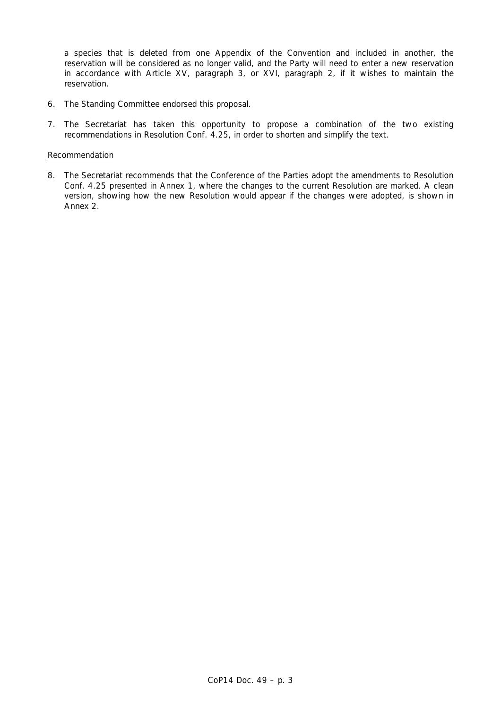a species that is deleted from one Appendix of the Convention and included in another, the reservation will be considered as no longer valid, and the Party will need to enter a new reservation in accordance with Article XV, paragraph 3, or XVI, paragraph 2, if it wishes to maintain the reservation.

- 6. The Standing Committee endorsed this proposal.
- 7. The Secretariat has taken this opportunity to propose a combination of the two existing recommendations in Resolution Conf. 4.25, in order to shorten and simplify the text.

#### Recommendation

8. The Secretariat recommends that the Conference of the Parties adopt the amendments to Resolution Conf. 4.25 presented in Annex 1, where the changes to the current Resolution are marked. A clean version, showing how the new Resolution would appear if the changes were adopted, is shown in Annex 2.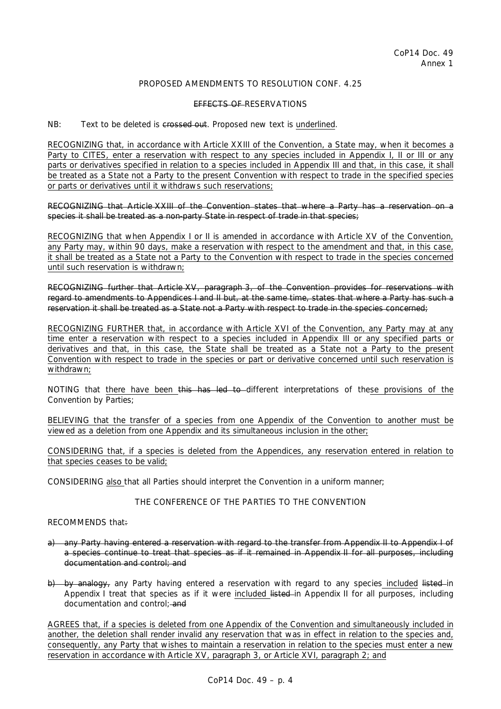# PROPOSED AMENDMENTS TO RESOLUTION CONE. 4.25

#### EFFECTS OF RESERVATIONS

NB: Text to be deleted is crossed out. Proposed new text is underlined.

RECOGNIZING that, in accordance with Article XXIII of the Convention, a State may, when it becomes a Party to CITES, enter a reservation with respect to any species included in Appendix I, II or III or any parts or derivatives specified in relation to a species included in Appendix III and that, in this case, it shall be treated as a State not a Party to the present Convention with respect to trade in the specified species or parts or derivatives until it withdraws such reservations;

RECOGNIZING that Article XXIII of the Convention states that where a Party has a reservation on a species it shall be treated as a non-party State in respect of trade in that species;

RECOGNIZING that when Appendix I or II is amended in accordance with Article XV of the Convention, any Party may, within 90 days, make a reservation with respect to the amendment and that, in this case, it shall be treated as a State not a Party to the Convention with respect to trade in the species concerned until such reservation is withdrawn;

RECOGNIZING further that Article XV, paragraph 3, of the Convention provides for reservations with regard to amendments to Appendices I and II but, at the same time, states that where a Party has such a reservation it shall be treated as a State not a Party with respect to trade in the species concerned;

RECOGNIZING FURTHER that, in accordance with Article XVI of the Convention, any Party may at any time enter a reservation with respect to a species included in Appendix III or any specified parts or derivatives and that, in this case, the State shall be treated as a State not a Party to the present Convention with respect to trade in the species or part or derivative concerned until such reservation is withdrawn:

NOTING that there have been this has led to different interpretations of these provisions of the Convention by Parties;

BELIEVING that the transfer of a species from one Appendix of the Convention to another must be viewed as a deletion from one Appendix and its simultaneous inclusion in the other;

CONSIDERING that, if a species is deleted from the Appendices, any reservation entered in relation to that species ceases to be valid;

CONSIDERING also that all Parties should interpret the Convention in a uniform manner;

# THE CONFERENCE OF THE PARTIES TO THE CONVENTION

## RECOMMENDS that:

- a) any Party having entered a reservation with regard to the transfer from Appendix II to Appendix I of a species continue to treat that species as if it remained in Appendix II for all purposes, including documentation and control; and
- b) by analogy, any Party having entered a reservation with regard to any species included listed-in Appendix I treat that species as if it were included listed in Appendix II for all purposes, including documentation and control; and

AGREES that, if a species is deleted from one Appendix of the Convention and simultaneously included in another, the deletion shall render invalid any reservation that was in effect in relation to the species and, consequently, any Party that wishes to maintain a reservation in relation to the species must enter a new reservation in accordance with Article XV, paragraph 3, or Article XVI, paragraph 2; and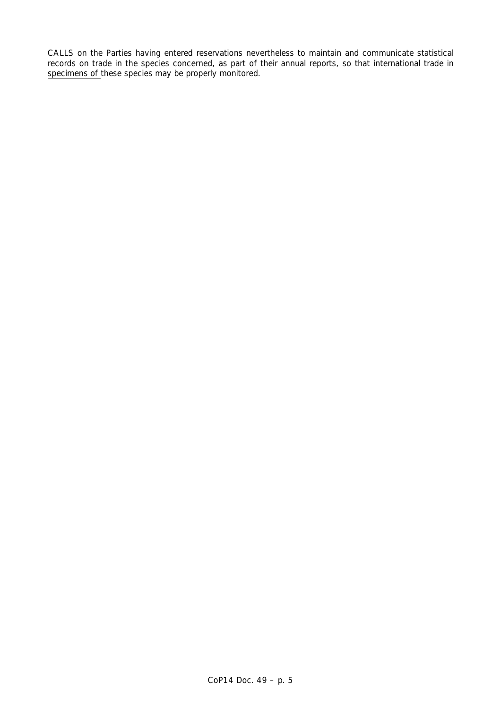CALLS on the Parties having entered reservations nevertheless to maintain and communicate statistical records on trade in the species concerned, as part of their annual reports, so that international trade in specimens of these species may be properly monitored.